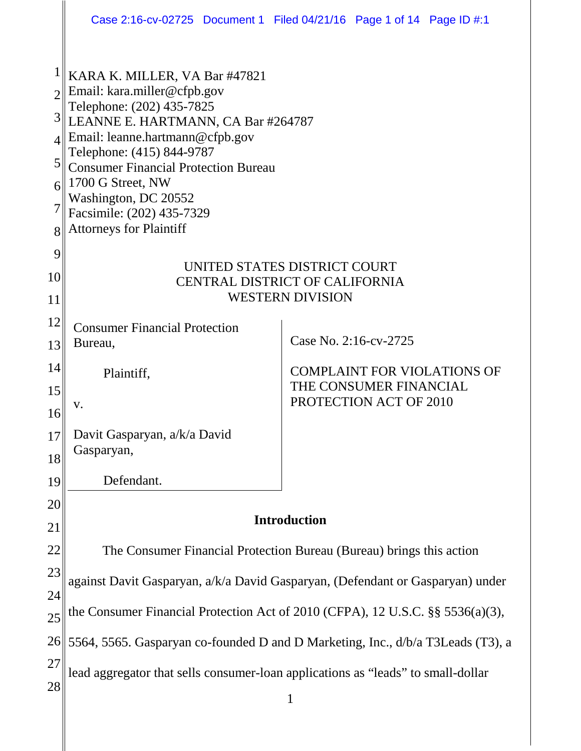|          |                                                                                                                                                                                                                         | Case 2:16-cv-02725 Document 1 Filed 04/21/16 Page 1 of 14 Page ID #:1 |
|----------|-------------------------------------------------------------------------------------------------------------------------------------------------------------------------------------------------------------------------|-----------------------------------------------------------------------|
|          | KARA K. MILLER, VA Bar #47821<br>Email: kara.miller@cfpb.gov<br>Telephone: (202) 435-7825                                                                                                                               |                                                                       |
| 3        | LEANNE E. HARTMANN, CA Bar #264787                                                                                                                                                                                      |                                                                       |
|          | Email: leanne.hartmann@cfpb.gov<br>Telephone: (415) 844-9787<br><b>Consumer Financial Protection Bureau</b><br>1700 G Street, NW<br>Washington, DC 20552<br>Facsimile: (202) 435-7329<br><b>Attorneys for Plaintiff</b> |                                                                       |
| 5        |                                                                                                                                                                                                                         |                                                                       |
|          |                                                                                                                                                                                                                         |                                                                       |
|          |                                                                                                                                                                                                                         |                                                                       |
| 8<br>9   |                                                                                                                                                                                                                         |                                                                       |
| 10       | UNITED STATES DISTRICT COURT<br><b>CENTRAL DISTRICT OF CALIFORNIA</b><br><b>WESTERN DIVISION</b>                                                                                                                        |                                                                       |
| 11       |                                                                                                                                                                                                                         |                                                                       |
| 12       | <b>Consumer Financial Protection</b>                                                                                                                                                                                    |                                                                       |
| 13       | Bureau,                                                                                                                                                                                                                 | Case No. 2:16-cv-2725                                                 |
| 14       | Plaintiff,                                                                                                                                                                                                              | <b>COMPLAINT FOR VIOLATIONS OF</b>                                    |
| 15       |                                                                                                                                                                                                                         | THE CONSUMER FINANCIAL<br>PROTECTION ACT OF 2010                      |
| 16       | V.                                                                                                                                                                                                                      |                                                                       |
| 17       | Davit Gasparyan, a/k/a David<br>Gasparyan,                                                                                                                                                                              |                                                                       |
| 18       |                                                                                                                                                                                                                         |                                                                       |
| 19       | Defendant.                                                                                                                                                                                                              |                                                                       |
| 20       | <b>Introduction</b>                                                                                                                                                                                                     |                                                                       |
| 21       |                                                                                                                                                                                                                         |                                                                       |
| 22<br>23 | The Consumer Financial Protection Bureau (Bureau) brings this action                                                                                                                                                    |                                                                       |
| 24       | against Davit Gasparyan, a/k/a David Gasparyan, (Defendant or Gasparyan) under                                                                                                                                          |                                                                       |
| 25       | the Consumer Financial Protection Act of 2010 (CFPA), 12 U.S.C. §§ 5536(a)(3),                                                                                                                                          |                                                                       |
| 26       | 5564, 5565. Gasparyan co-founded D and D Marketing, Inc., d/b/a T3Leads (T3), a                                                                                                                                         |                                                                       |
| 27       | lead aggregator that sells consumer-loan applications as "leads" to small-dollar                                                                                                                                        |                                                                       |
| 28       |                                                                                                                                                                                                                         | $\mathbf{1}$                                                          |
|          |                                                                                                                                                                                                                         |                                                                       |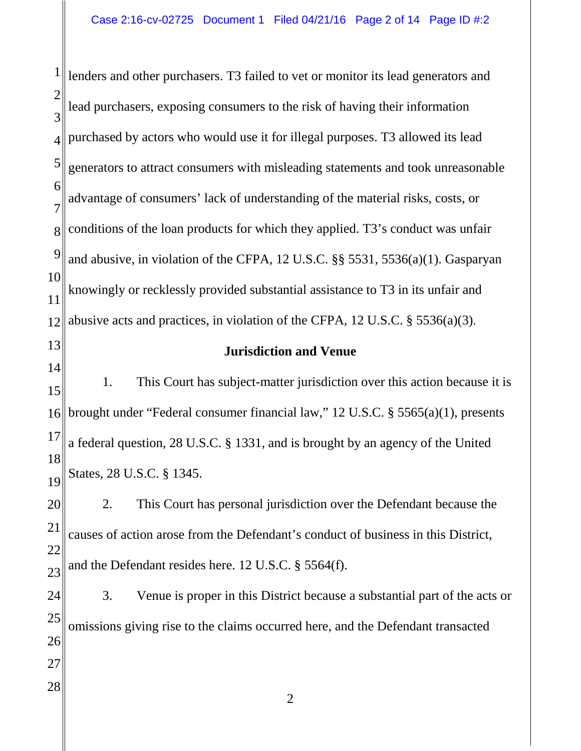1 2 3 4 5 6 7 8 9 10 11 12 13 14 15 16 17 18 19 20 21 22 23 24 25 26 27 28 lenders and other purchasers. T3 failed to vet or monitor its lead generators and lead purchasers, exposing consumers to the risk of having their information purchased by actors who would use it for illegal purposes. T3 allowed its lead generators to attract consumers with misleading statements and took unreasonable advantage of consumers' lack of understanding of the material risks, costs, or conditions of the loan products for which they applied. T3's conduct was unfair and abusive, in violation of the CFPA, 12 U.S.C. §§ 5531, 5536(a)(1). Gasparyan knowingly or recklessly provided substantial assistance to T3 in its unfair and abusive acts and practices, in violation of the CFPA, 12 U.S.C. § 5536(a)(3). **Jurisdiction and Venue** 1. This Court has subject-matter jurisdiction over this action because it is brought under "Federal consumer financial law," 12 U.S.C. § 5565(a)(1), presents a federal question, 28 U.S.C. § 1331, and is brought by an agency of the United States, 28 U.S.C. § 1345. 2. This Court has personal jurisdiction over the Defendant because the causes of action arose from the Defendant's conduct of business in this District, and the Defendant resides here. 12 U.S.C. § 5564(f). 3. Venue is proper in this District because a substantial part of the acts or omissions giving rise to the claims occurred here, and the Defendant transacted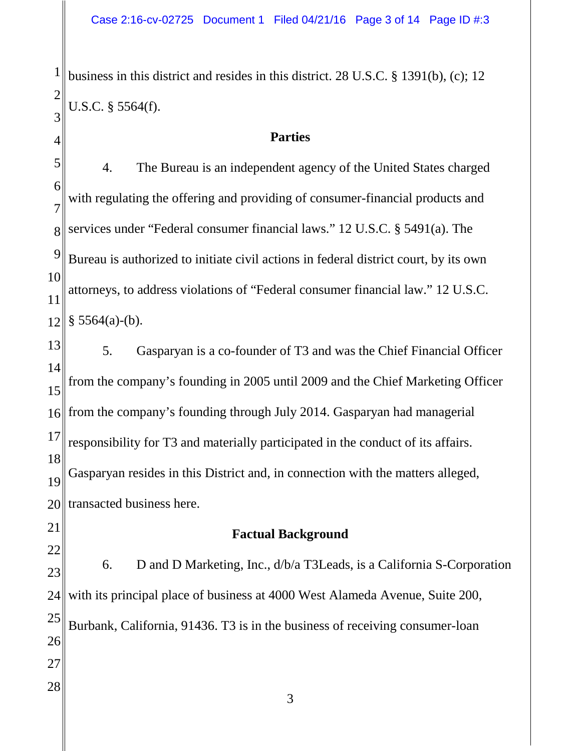business in this district and resides in this district. 28 U.S.C. § 1391(b), (c); 12 U.S.C. § 5564(f).

#### **Parties**

5 6 7 8 9 10 11 12 4. The Bureau is an independent agency of the United States charged with regulating the offering and providing of consumer-financial products and services under "Federal consumer financial laws." 12 U.S.C. § 5491(a). The Bureau is authorized to initiate civil actions in federal district court, by its own attorneys, to address violations of "Federal consumer financial law." 12 U.S.C.  $§$  5564(a)-(b).

13 14 15 16 17 18 19 20 5. Gasparyan is a co-founder of T3 and was the Chief Financial Officer from the company's founding in 2005 until 2009 and the Chief Marketing Officer from the company's founding through July 2014. Gasparyan had managerial responsibility for T3 and materially participated in the conduct of its affairs. Gasparyan resides in this District and, in connection with the matters alleged, transacted business here.

# 21 22

1

2

3

4

## **Factual Background**

23 24 25 26 27 28 3 6. D and D Marketing, Inc., d/b/a T3Leads, is a California S-Corporation with its principal place of business at 4000 West Alameda Avenue, Suite 200, Burbank, California, 91436. T3 is in the business of receiving consumer-loan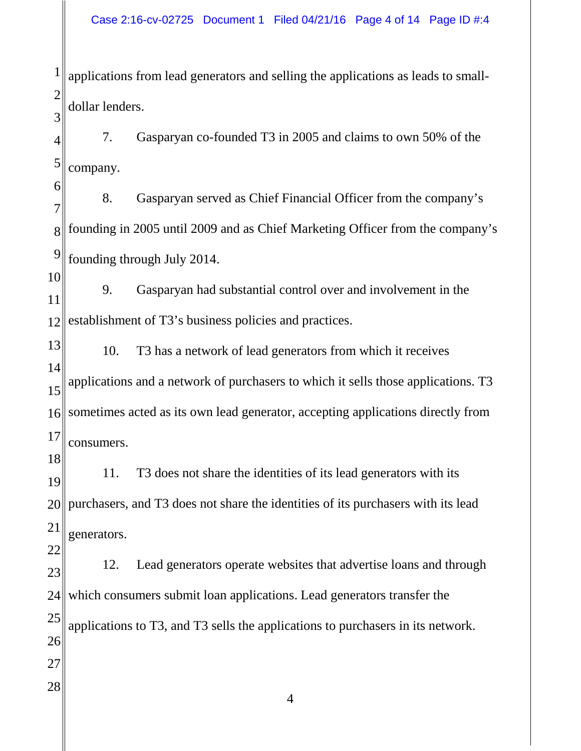1 2 3 applications from lead generators and selling the applications as leads to smalldollar lenders.

4 5 7. Gasparyan co-founded T3 in 2005 and claims to own 50% of the company.

6 7 8 9 8. Gasparyan served as Chief Financial Officer from the company's founding in 2005 until 2009 and as Chief Marketing Officer from the company's founding through July 2014.

10 11 12 9. Gasparyan had substantial control over and involvement in the establishment of T3's business policies and practices.

13 14 15 16 17 10. T3 has a network of lead generators from which it receives applications and a network of purchasers to which it sells those applications. T3 sometimes acted as its own lead generator, accepting applications directly from consumers.

18 19 20 21 11. T3 does not share the identities of its lead generators with its purchasers, and T3 does not share the identities of its purchasers with its lead generators.

22

23 24 25 26 27 28 12. Lead generators operate websites that advertise loans and through which consumers submit loan applications. Lead generators transfer the applications to T3, and T3 sells the applications to purchasers in its network.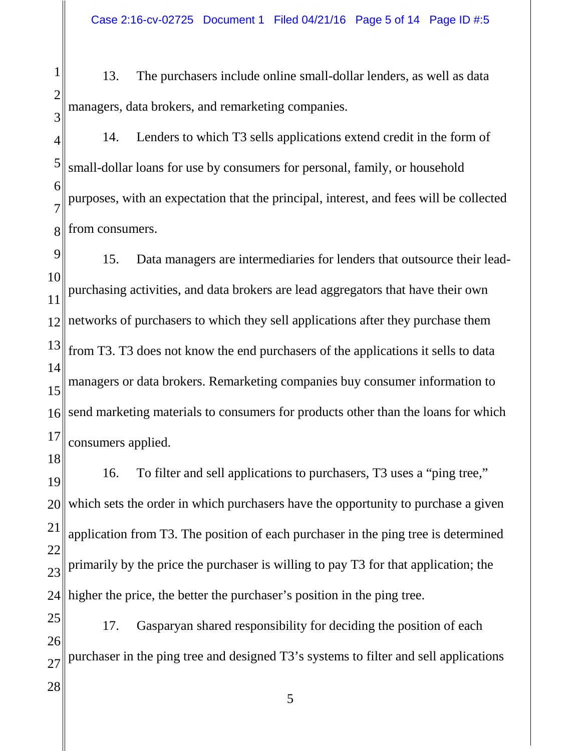1 2 3 13. The purchasers include online small-dollar lenders, as well as data managers, data brokers, and remarketing companies.

4 5 6 7 8 14. Lenders to which T3 sells applications extend credit in the form of small-dollar loans for use by consumers for personal, family, or household purposes, with an expectation that the principal, interest, and fees will be collected from consumers.

9 10 11 12 13 14 15 16 17 15. Data managers are intermediaries for lenders that outsource their leadpurchasing activities, and data brokers are lead aggregators that have their own networks of purchasers to which they sell applications after they purchase them from T3. T3 does not know the end purchasers of the applications it sells to data managers or data brokers. Remarketing companies buy consumer information to send marketing materials to consumers for products other than the loans for which consumers applied.

18 19 20 21 22 23 24 16. To filter and sell applications to purchasers, T3 uses a "ping tree," which sets the order in which purchasers have the opportunity to purchase a given application from T3. The position of each purchaser in the ping tree is determined primarily by the price the purchaser is willing to pay T3 for that application; the higher the price, the better the purchaser's position in the ping tree.

25 26 27 17. Gasparyan shared responsibility for deciding the position of each purchaser in the ping tree and designed T3's systems to filter and sell applications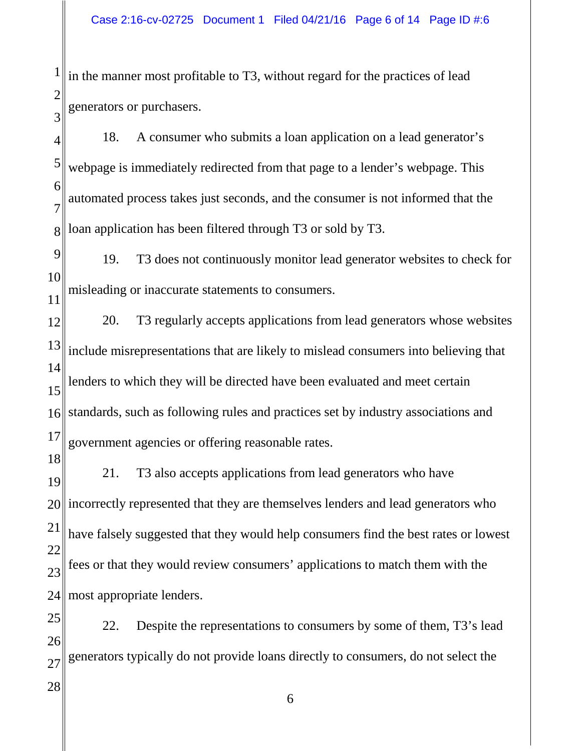1 2 3 in the manner most profitable to T3, without regard for the practices of lead generators or purchasers.

4 5 6 7 8 18. A consumer who submits a loan application on a lead generator's webpage is immediately redirected from that page to a lender's webpage. This automated process takes just seconds, and the consumer is not informed that the loan application has been filtered through T3 or sold by T3.

9 10 11 19. T3 does not continuously monitor lead generator websites to check for misleading or inaccurate statements to consumers.

12 13 14 15 16 17 20. T3 regularly accepts applications from lead generators whose websites include misrepresentations that are likely to mislead consumers into believing that lenders to which they will be directed have been evaluated and meet certain standards, such as following rules and practices set by industry associations and government agencies or offering reasonable rates.

18 19 20 21 22 23 24 21. T3 also accepts applications from lead generators who have incorrectly represented that they are themselves lenders and lead generators who have falsely suggested that they would help consumers find the best rates or lowest fees or that they would review consumers' applications to match them with the most appropriate lenders.

25 26 27 22. Despite the representations to consumers by some of them, T3's lead generators typically do not provide loans directly to consumers, do not select the

6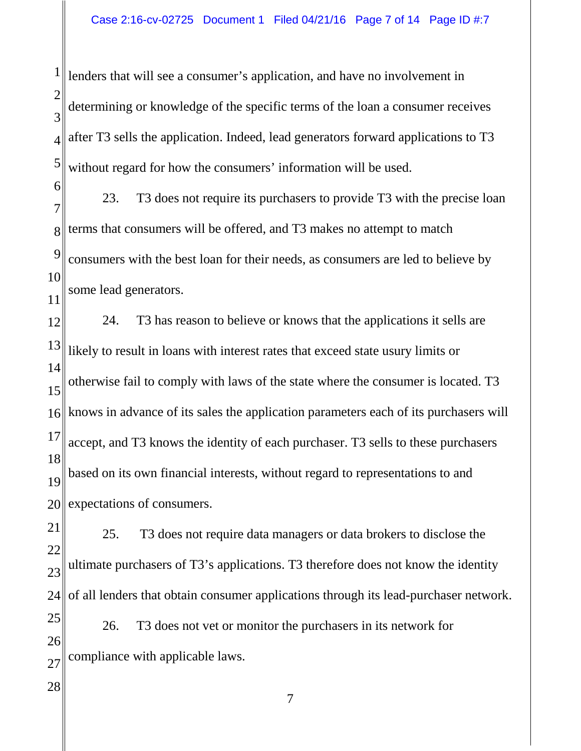1 2 3 4 5 lenders that will see a consumer's application, and have no involvement in determining or knowledge of the specific terms of the loan a consumer receives after T3 sells the application. Indeed, lead generators forward applications to T3 without regard for how the consumers' information will be used.

6 7 8 9 10 11 23. T3 does not require its purchasers to provide T3 with the precise loan terms that consumers will be offered, and T3 makes no attempt to match consumers with the best loan for their needs, as consumers are led to believe by some lead generators.

12 13 14 15 16 17 18 19 20 24. T3 has reason to believe or knows that the applications it sells are likely to result in loans with interest rates that exceed state usury limits or otherwise fail to comply with laws of the state where the consumer is located. T3 knows in advance of its sales the application parameters each of its purchasers will accept, and T3 knows the identity of each purchaser. T3 sells to these purchasers based on its own financial interests, without regard to representations to and expectations of consumers.

21 22 23 24 25. T3 does not require data managers or data brokers to disclose the ultimate purchasers of T3's applications. T3 therefore does not know the identity of all lenders that obtain consumer applications through its lead-purchaser network.

25 26 27 26. T3 does not vet or monitor the purchasers in its network for compliance with applicable laws.

28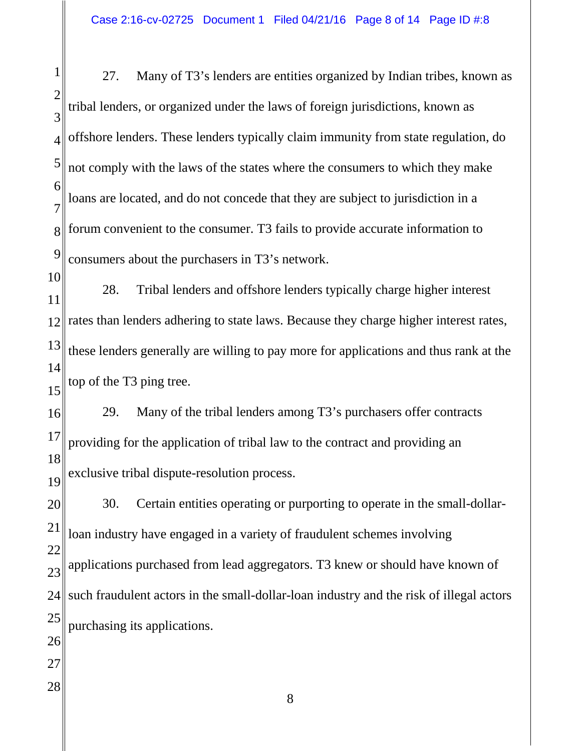1 2 3 4 5 6 7 8 9 27. Many of T3's lenders are entities organized by Indian tribes, known as tribal lenders, or organized under the laws of foreign jurisdictions, known as offshore lenders. These lenders typically claim immunity from state regulation, do not comply with the laws of the states where the consumers to which they make loans are located, and do not concede that they are subject to jurisdiction in a forum convenient to the consumer. T3 fails to provide accurate information to consumers about the purchasers in T3's network.

10 11 12 13 14 15 28. Tribal lenders and offshore lenders typically charge higher interest rates than lenders adhering to state laws. Because they charge higher interest rates, these lenders generally are willing to pay more for applications and thus rank at the top of the T3 ping tree.

16 17 18 19 29. Many of the tribal lenders among T3's purchasers offer contracts providing for the application of tribal law to the contract and providing an exclusive tribal dispute-resolution process.

20 21 22 23 24 25 26 27 30. Certain entities operating or purporting to operate in the small-dollarloan industry have engaged in a variety of fraudulent schemes involving applications purchased from lead aggregators. T3 knew or should have known of such fraudulent actors in the small-dollar-loan industry and the risk of illegal actors purchasing its applications.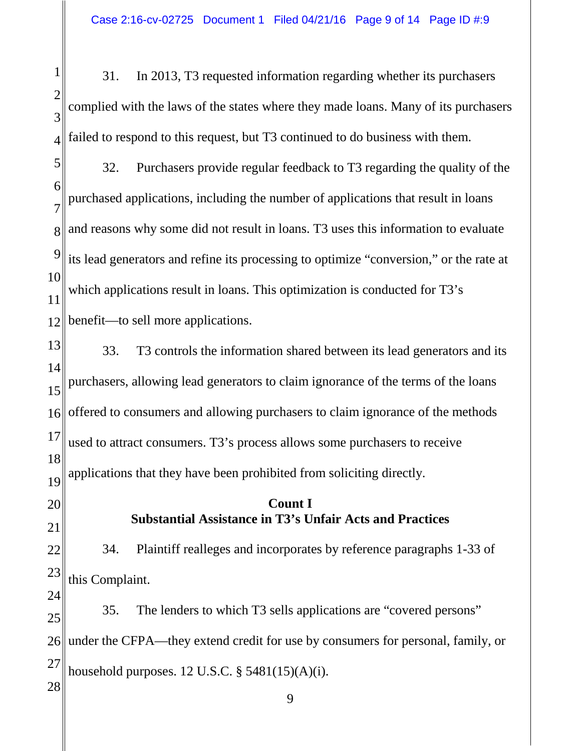1 2 3 4 31. In 2013, T3 requested information regarding whether its purchasers complied with the laws of the states where they made loans. Many of its purchasers failed to respond to this request, but T3 continued to do business with them.

5 6 7 8 9 10 11 12 32. Purchasers provide regular feedback to T3 regarding the quality of the purchased applications, including the number of applications that result in loans and reasons why some did not result in loans. T3 uses this information to evaluate its lead generators and refine its processing to optimize "conversion," or the rate at which applications result in loans. This optimization is conducted for T3's benefit—to sell more applications.

13 14 15 16 17 18 19 33. T3 controls the information shared between its lead generators and its purchasers, allowing lead generators to claim ignorance of the terms of the loans offered to consumers and allowing purchasers to claim ignorance of the methods used to attract consumers. T3's process allows some purchasers to receive applications that they have been prohibited from soliciting directly.

## **Count I Substantial Assistance in T3's Unfair Acts and Practices**

20

21

22 23 34. Plaintiff realleges and incorporates by reference paragraphs 1-33 of this Complaint.

24 25 26 27 28 35. The lenders to which T3 sells applications are "covered persons" under the CFPA—they extend credit for use by consumers for personal, family, or household purposes.  $12$  U.S.C.  $\S$  5481(15)(A)(i).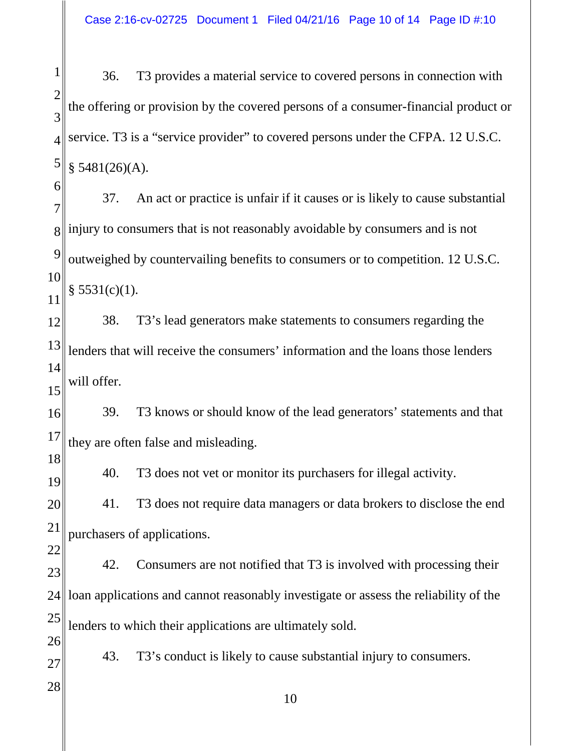1 2 3 4 5 36. T3 provides a material service to covered persons in connection with the offering or provision by the covered persons of a consumer-financial product or service. T3 is a "service provider" to covered persons under the CFPA. 12 U.S.C.  $$5481(26)(A).$ 

6 7 8 9 10 11 37. An act or practice is unfair if it causes or is likely to cause substantial injury to consumers that is not reasonably avoidable by consumers and is not outweighed by countervailing benefits to consumers or to competition. 12 U.S.C.  $§ 5531(c)(1).$ 

12 13 14 15 38. T3's lead generators make statements to consumers regarding the lenders that will receive the consumers' information and the loans those lenders will offer.

16 17 39. T3 knows or should know of the lead generators' statements and that they are often false and misleading.

40. T3 does not vet or monitor its purchasers for illegal activity.

20 21 41. T3 does not require data managers or data brokers to disclose the end purchasers of applications.

22 23 24 25 26 42. Consumers are not notified that T3 is involved with processing their loan applications and cannot reasonably investigate or assess the reliability of the lenders to which their applications are ultimately sold.

43. T3's conduct is likely to cause substantial injury to consumers.

28

27

18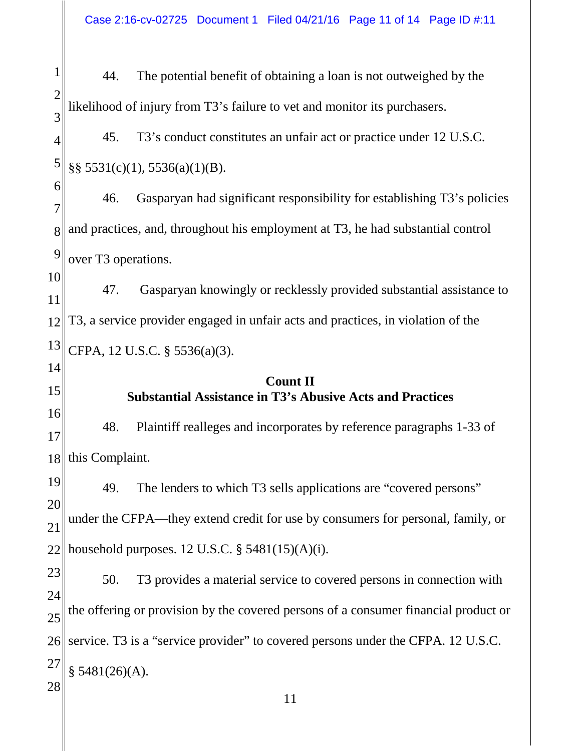Case 2:16-cv-02725 Document 1 Filed 04/21/16 Page 11 of 14 Page ID #:11

1 2 3 4 5 6 7 8 9 10 11 12 13 14 15 16 17 18 19 20 21 22 23 24 25 26 27 28 11 44. The potential benefit of obtaining a loan is not outweighed by the likelihood of injury from T3's failure to vet and monitor its purchasers. 45. T3's conduct constitutes an unfair act or practice under 12 U.S.C. §§ 5531(c)(1), 5536(a)(1)(B). 46. Gasparyan had significant responsibility for establishing T3's policies and practices, and, throughout his employment at T3, he had substantial control over T3 operations. 47. Gasparyan knowingly or recklessly provided substantial assistance to T3, a service provider engaged in unfair acts and practices, in violation of the CFPA, 12 U.S.C. § 5536(a)(3). **Count II Substantial Assistance in T3's Abusive Acts and Practices** 48. Plaintiff realleges and incorporates by reference paragraphs 1-33 of this Complaint. 49. The lenders to which T3 sells applications are "covered persons" under the CFPA—they extend credit for use by consumers for personal, family, or household purposes.  $12$  U.S.C.  $\S$  5481(15)(A)(i). 50. T3 provides a material service to covered persons in connection with the offering or provision by the covered persons of a consumer financial product or service. T3 is a "service provider" to covered persons under the CFPA. 12 U.S.C.  $§ 5481(26)(A).$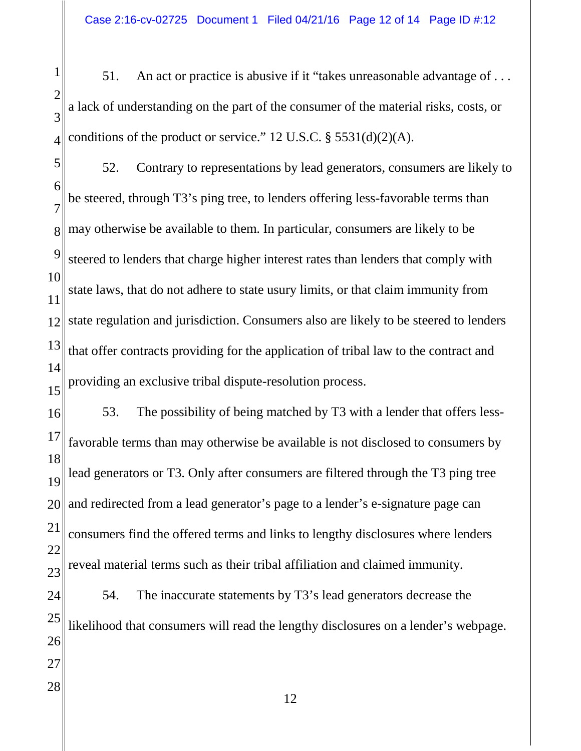51. An act or practice is abusive if it "takes unreasonable advantage of . . . a lack of understanding on the part of the consumer of the material risks, costs, or conditions of the product or service." U.S.C. § 5531(d)(2)(A).

 52. Contrary to representations by lead generators, consumers are likely to be steered, through T3's ping tree, to lenders offering less-favorable terms than may otherwise be available to them. In particular, consumers are likely to be steered to lenders that charge higher interest rates than lenders that comply with state laws, that do not adhere to state usury limits, or that claim immunity from state regulation and jurisdiction. Consumers also are likely to be steered to lenders that offer contracts providing for the application of tribal law to the contract and providing an exclusive tribal dispute-resolution process.

 53. The possibility of being matched by T3 with a lender that offers lessfavorable terms than may otherwise be available is not disclosed to consumers by lead generators or T3. Only after consumers are filtered through the T3 ping tree and redirected from a lead generator's page to a lender's e-signature page can consumers find the offered terms and links to lengthy disclosures where lenders reveal material terms such as their tribal affiliation and claimed immunity. 54. The inaccurate statements by T3's lead generators decrease the likelihood that consumers will read the lengthy disclosures on a lender's webpage.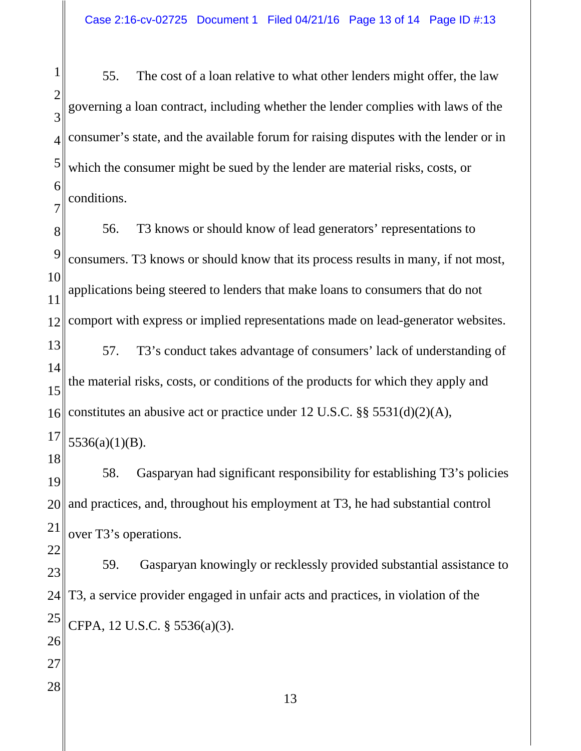1 2 3 4 5 6 7 55. The cost of a loan relative to what other lenders might offer, the law governing a loan contract, including whether the lender complies with laws of the consumer's state, and the available forum for raising disputes with the lender or in which the consumer might be sued by the lender are material risks, costs, or conditions.

8 9 10 11 12 13 14 15 16 17 18 19 20 21 22 23 24 25 26 27 28 13 56. T3 knows or should know of lead generators' representations to consumers. T3 knows or should know that its process results in many, if not most, applications being steered to lenders that make loans to consumers that do not comport with express or implied representations made on lead-generator websites. 57. T3's conduct takes advantage of consumers' lack of understanding of the material risks, costs, or conditions of the products for which they apply and constitutes an abusive act or practice under 12 U.S.C. §§ 5531(d)(2)(A), 5536(a)(1)(B). 58. Gasparyan had significant responsibility for establishing T3's policies and practices, and, throughout his employment at T3, he had substantial control over T3's operations. 59. Gasparyan knowingly or recklessly provided substantial assistance to T3, a service provider engaged in unfair acts and practices, in violation of the CFPA, 12 U.S.C. § 5536(a)(3).